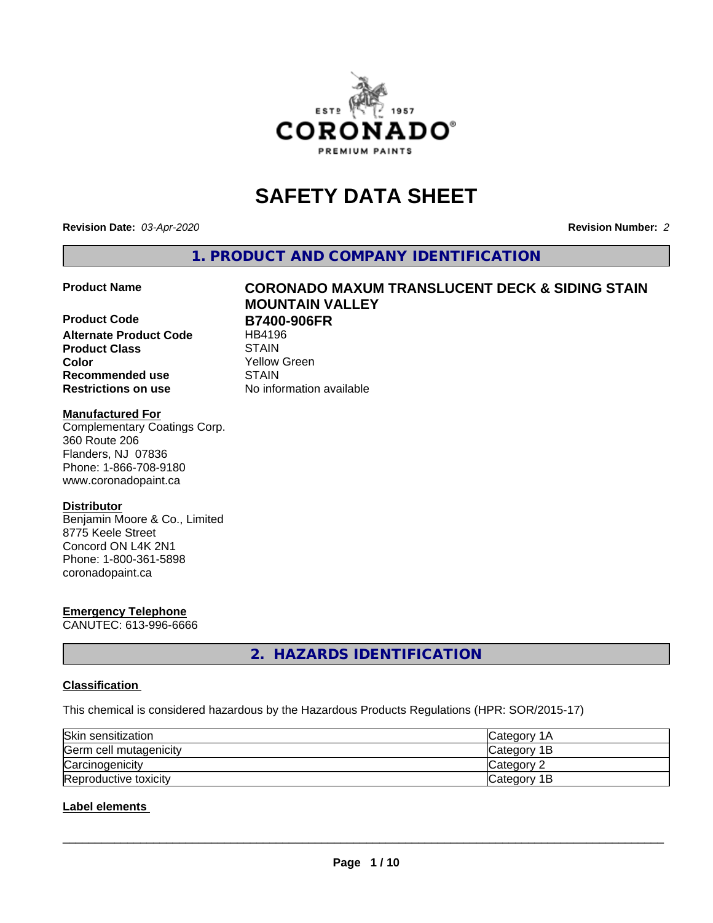

# **SAFETY DATA SHEET**

**Revision Date:** *03-Apr-2020* **Revision Number:** *2*

**1. PRODUCT AND COMPANY IDENTIFICATION**

**Product Code B7400-906FR**<br>Alternate Product Code HB4196 **Alternate Product Code Product Class**<br> **Color**<br>
Color **Recommended use STAIN Restrictions on use** No information available

# **Product Name CORONADO MAXUM TRANSLUCENT DECK & SIDING STAIN MOUNTAIN VALLEY**

Yellow Green

#### **Manufactured For**

Complementary Coatings Corp. 360 Route 206 Flanders, NJ 07836 Phone: 1-866-708-9180 www.coronadopaint.ca

#### **Distributor**

Benjamin Moore & Co., Limited 8775 Keele Street Concord ON L4K 2N1 Phone: 1-800-361-5898 coronadopaint.ca

# **Emergency Telephone**

CANUTEC: 613-996-6666

**2. HAZARDS IDENTIFICATION**

#### **Classification**

This chemical is considered hazardous by the Hazardous Products Regulations (HPR: SOR/2015-17)

| Skin sensitization     | ICategory 1A |
|------------------------|--------------|
| Germ cell mutagenicity | Category 1B  |
| Carcinogenicity        | lCategorv 2  |
| Reproductive toxicity  | Category 1B  |

#### **Label elements**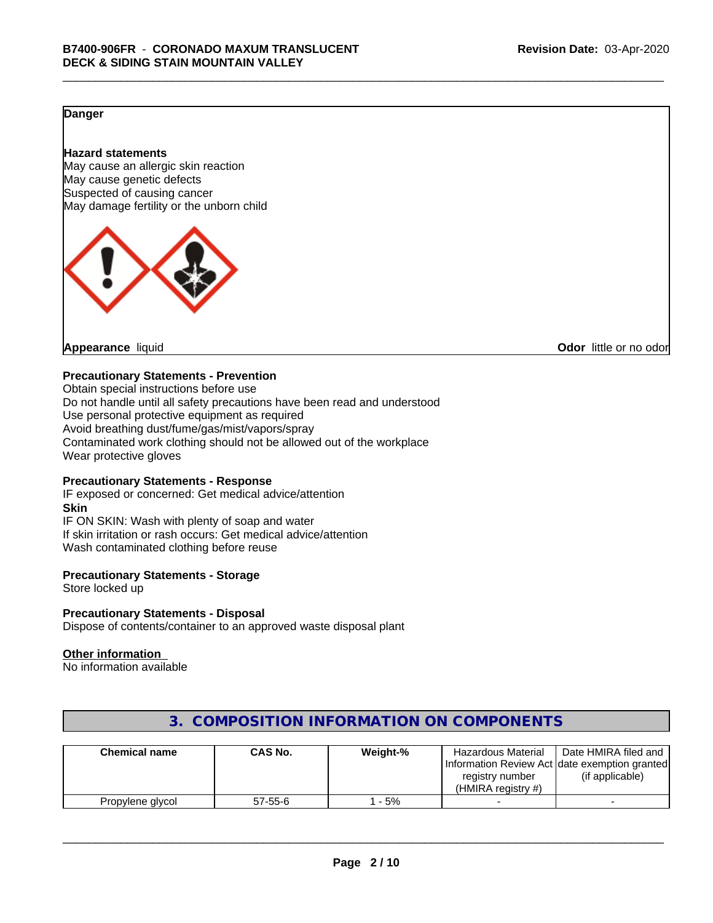#### **Danger**

#### **Hazard statements**

May cause an allergic skin reaction May cause genetic defects Suspected of causing cancer May damage fertility or the unborn child



**Appearance** liquid **CODO** *Appearance liquid* **Odor** *CODO CODO* **<b>***CODO CODO CODO CODO CODO* 

#### **Precautionary Statements - Prevention**

Obtain special instructions before use Do not handle until all safety precautions have been read and understood Use personal protective equipment as required Avoid breathing dust/fume/gas/mist/vapors/spray Contaminated work clothing should not be allowed out of the workplace Wear protective gloves

#### **Precautionary Statements - Response**

IF exposed or concerned: Get medical advice/attention **Skin** IF ON SKIN: Wash with plenty of soap and water If skin irritation or rash occurs: Get medical advice/attention Wash contaminated clothing before reuse

#### **Precautionary Statements - Storage**

Store locked up

#### **Precautionary Statements - Disposal**

Dispose of contents/container to an approved waste disposal plant

#### **Other information**

No information available

| <b>Chemical name</b> | CAS No.       | Weight-% | <b>Hazardous Material</b><br>registry number<br>(HMIRA reaistry #) | Date HMIRA filed and<br>Information Review Act Idate exemption granted<br>(if applicable) |
|----------------------|---------------|----------|--------------------------------------------------------------------|-------------------------------------------------------------------------------------------|
| Propylene glycol     | $57 - 55 - 6$ | - 5%     |                                                                    |                                                                                           |

### **3. COMPOSITION INFORMATION ON COMPONENTS**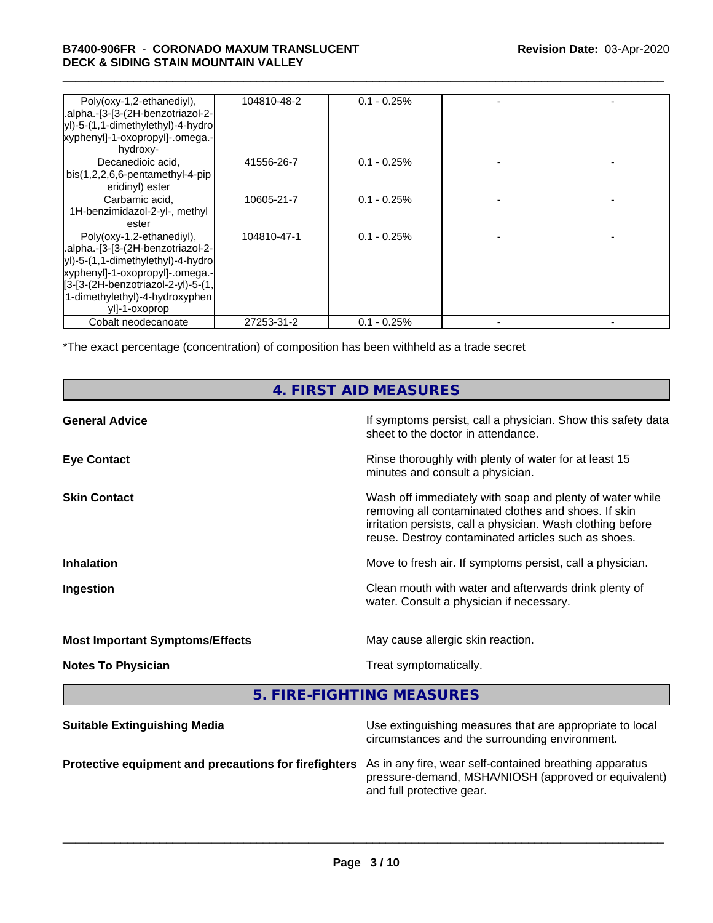#### \_\_\_\_\_\_\_\_\_\_\_\_\_\_\_\_\_\_\_\_\_\_\_\_\_\_\_\_\_\_\_\_\_\_\_\_\_\_\_\_\_\_\_\_\_\_\_\_\_\_\_\_\_\_\_\_\_\_\_\_\_\_\_\_\_\_\_\_\_\_\_\_\_\_\_\_\_\_\_\_\_\_\_\_\_\_\_\_\_\_\_\_\_ **B7400-906FR** - **CORONADO MAXUM TRANSLUCENT DECK & SIDING STAIN MOUNTAIN VALLEY**

| Poly(oxy-1,2-ethanediyl),<br>.alpha.-[3-[3-(2H-benzotriazol-2-<br>yl)-5-(1,1-dimethylethyl)-4-hydro<br>xyphenyl]-1-oxopropyl]-.omega.-<br>hydroxy-                                                                              | 104810-48-2 | $0.1 - 0.25\%$ |  |
|---------------------------------------------------------------------------------------------------------------------------------------------------------------------------------------------------------------------------------|-------------|----------------|--|
| Decanedioic acid,<br>$bis(1,2,2,6,6-pentamentlyl-4-pip)$<br>eridinyl) ester                                                                                                                                                     | 41556-26-7  | $0.1 - 0.25\%$ |  |
| Carbamic acid,<br>1H-benzimidazol-2-yl-, methyl<br>ester                                                                                                                                                                        | 10605-21-7  | $0.1 - 0.25%$  |  |
| Poly(oxy-1,2-ethanediyl),<br>.alpha.-[3-[3-(2H-benzotriazol-2-<br>yl)-5-(1,1-dimethylethyl)-4-hydro<br>xyphenyl]-1-oxopropyl]-.omega.-<br>[3-[3-(2H-benzotriazol-2-yl)-5-(1,<br>1-dimethylethyl)-4-hydroxyphen<br>yll-1-oxoprop | 104810-47-1 | $0.1 - 0.25%$  |  |
| Cobalt neodecanoate                                                                                                                                                                                                             | 27253-31-2  | $0.1 - 0.25%$  |  |

\*The exact percentage (concentration) of composition has been withheld as a trade secret

# **4. FIRST AID MEASURES**

| <b>General Advice</b>                  | If symptoms persist, call a physician. Show this safety data<br>sheet to the doctor in attendance.                                                                                                                                     |
|----------------------------------------|----------------------------------------------------------------------------------------------------------------------------------------------------------------------------------------------------------------------------------------|
| <b>Eye Contact</b>                     | Rinse thoroughly with plenty of water for at least 15<br>minutes and consult a physician.                                                                                                                                              |
| <b>Skin Contact</b>                    | Wash off immediately with soap and plenty of water while<br>removing all contaminated clothes and shoes. If skin<br>irritation persists, call a physician. Wash clothing before<br>reuse. Destroy contaminated articles such as shoes. |
| <b>Inhalation</b>                      | Move to fresh air. If symptoms persist, call a physician.                                                                                                                                                                              |
| Ingestion                              | Clean mouth with water and afterwards drink plenty of<br>water. Consult a physician if necessary.                                                                                                                                      |
| <b>Most Important Symptoms/Effects</b> | May cause allergic skin reaction.                                                                                                                                                                                                      |
| <b>Notes To Physician</b>              | Treat symptomatically.                                                                                                                                                                                                                 |
|                                        |                                                                                                                                                                                                                                        |

**5. FIRE-FIGHTING MEASURES**

| <b>Suitable Extinguishing Media</b>                                                                           | Use extinguishing measures that are appropriate to local<br>circumstances and the surrounding environment. |
|---------------------------------------------------------------------------------------------------------------|------------------------------------------------------------------------------------------------------------|
| Protective equipment and precautions for firefighters As in any fire, wear self-contained breathing apparatus | pressure-demand, MSHA/NIOSH (approved or equivalent)<br>and full protective gear.                          |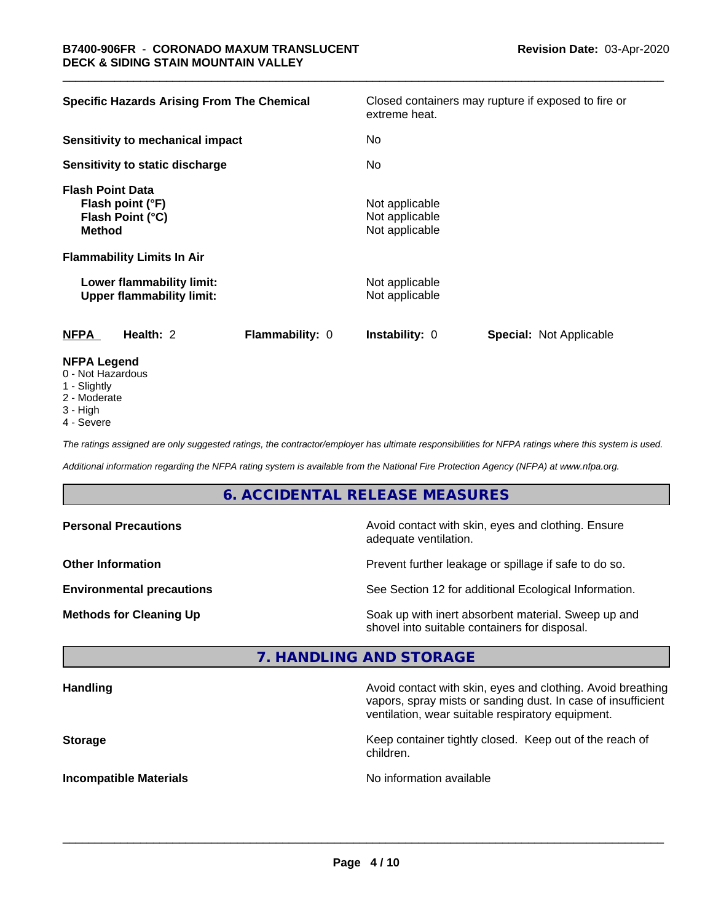| <b>Specific Hazards Arising From The Chemical</b>                                | Closed containers may rupture if exposed to fire or<br>extreme heat. |
|----------------------------------------------------------------------------------|----------------------------------------------------------------------|
| Sensitivity to mechanical impact                                                 | No                                                                   |
| Sensitivity to static discharge                                                  | No.                                                                  |
| <b>Flash Point Data</b><br>Flash point (°F)<br>Flash Point (°C)<br><b>Method</b> | Not applicable<br>Not applicable<br>Not applicable                   |
| <b>Flammability Limits In Air</b>                                                |                                                                      |
| Lower flammability limit:<br><b>Upper flammability limit:</b>                    | Not applicable<br>Not applicable                                     |
| <b>NFPA</b><br>Health: 2<br>Flammability: 0                                      | <b>Special: Not Applicable</b><br><b>Instability: 0</b>              |
| <b>NFPA Legend</b><br>0 Not Hozordoug                                            |                                                                      |

- 0 Not Hazardous
- 1 Slightly
- 2 Moderate
- 3 High
- 4 Severe

*The ratings assigned are only suggested ratings, the contractor/employer has ultimate responsibilities for NFPA ratings where this system is used.*

*Additional information regarding the NFPA rating system is available from the National Fire Protection Agency (NFPA) at www.nfpa.org.*

## **6. ACCIDENTAL RELEASE MEASURES**

| <b>Personal Precautions</b>      | Avoid contact with skin, eyes and clothing. Ensure<br>adequate ventilation.                          |
|----------------------------------|------------------------------------------------------------------------------------------------------|
| <b>Other Information</b>         | Prevent further leakage or spillage if safe to do so.                                                |
| <b>Environmental precautions</b> | See Section 12 for additional Ecological Information.                                                |
| <b>Methods for Cleaning Up</b>   | Soak up with inert absorbent material. Sweep up and<br>shovel into suitable containers for disposal. |

#### **7. HANDLING AND STORAGE**

| <b>Handling</b>               | Avoid contact with skin, eyes and clothing. Avoid breathing<br>vapors, spray mists or sanding dust. In case of insufficient<br>ventilation, wear suitable respiratory equipment. |
|-------------------------------|----------------------------------------------------------------------------------------------------------------------------------------------------------------------------------|
| <b>Storage</b>                | Keep container tightly closed. Keep out of the reach of<br>children.                                                                                                             |
| <b>Incompatible Materials</b> | No information available                                                                                                                                                         |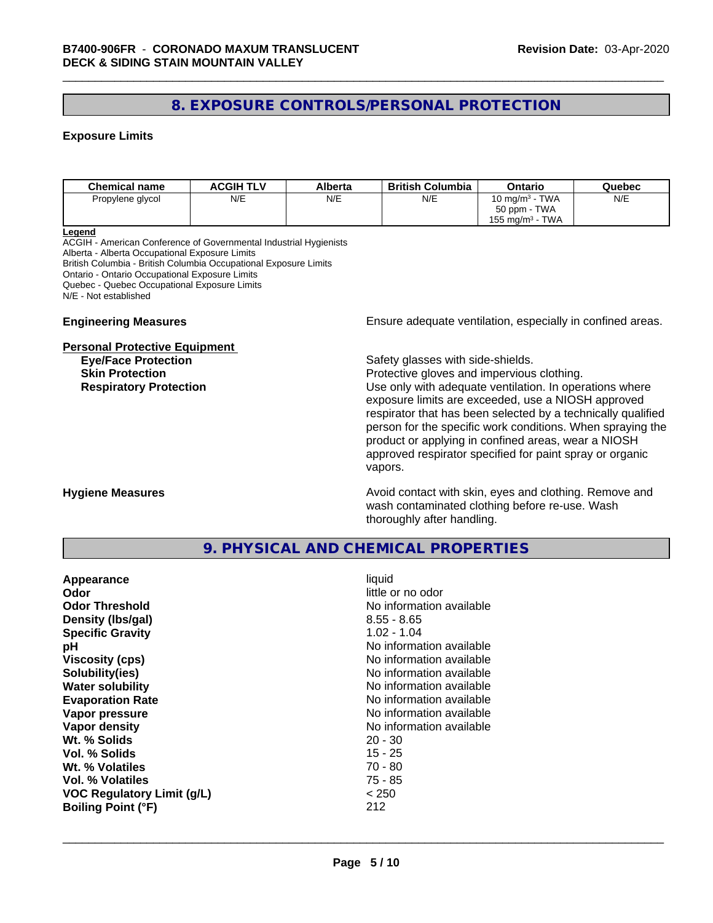### **8. EXPOSURE CONTROLS/PERSONAL PROTECTION**

#### **Exposure Limits**

| <b>Chemical name</b> | <b>ACGIH TLV</b> | Alberta | <b>British Columbia</b> | Ontario                        | Quebec |
|----------------------|------------------|---------|-------------------------|--------------------------------|--------|
| Propylene glycol     | N/E              | N/E     | N/E                     | 10 mg/m $3$ - TWA              | N/E    |
|                      |                  |         |                         | 50 ppm - TWA                   |        |
|                      |                  |         |                         | TWA<br>155 mg/m <sup>3</sup> - |        |

#### **Legend**

ACGIH - American Conference of Governmental Industrial Hygienists Alberta - Alberta Occupational Exposure Limits British Columbia - British Columbia Occupational Exposure Limits Ontario - Ontario Occupational Exposure Limits Quebec - Quebec Occupational Exposure Limits N/E - Not established

#### **Personal Protective Equipment**

**Engineering Measures Ensure** Ensure adequate ventilation, especially in confined areas.

**Eye/Face Protection Safety glasses with side-shields.** 

**Skin Protection Protection Protective gloves and impervious clothing. Respiratory Protection Exercise 2018** Use only with adequate ventilation. In operations where exposure limits are exceeded, use a NIOSH approved respirator that has been selected by a technically qualified person for the specific work conditions. When spraying the product or applying in confined areas, wear a NIOSH approved respirator specified for paint spray or organic vapors.

**Hygiene Measures Avoid contact with skin, eyes and clothing. Remove and Avoid contact with skin, eyes and clothing. Remove and Avoid contact with skin, eyes and clothing. Remove and** wash contaminated clothing before re-use. Wash thoroughly after handling.

#### **9. PHYSICAL AND CHEMICAL PROPERTIES**

| Appearance                        | liquid                   |
|-----------------------------------|--------------------------|
| Odor                              | little or no odor        |
| <b>Odor Threshold</b>             | No information available |
| Density (Ibs/gal)                 | $8.55 - 8.65$            |
| <b>Specific Gravity</b>           | $1.02 - 1.04$            |
| рH                                | No information available |
| <b>Viscosity (cps)</b>            | No information available |
| Solubility(ies)                   | No information available |
| <b>Water solubility</b>           | No information available |
| <b>Evaporation Rate</b>           | No information available |
| Vapor pressure                    | No information available |
| Vapor density                     | No information available |
| Wt. % Solids                      | $20 - 30$                |
| Vol. % Solids                     | 15 - 25                  |
| Wt. % Volatiles                   | $70 - 80$                |
| Vol. % Volatiles                  | 75 - 85                  |
| <b>VOC Regulatory Limit (g/L)</b> | < 250                    |
| <b>Boiling Point (°F)</b>         | 212                      |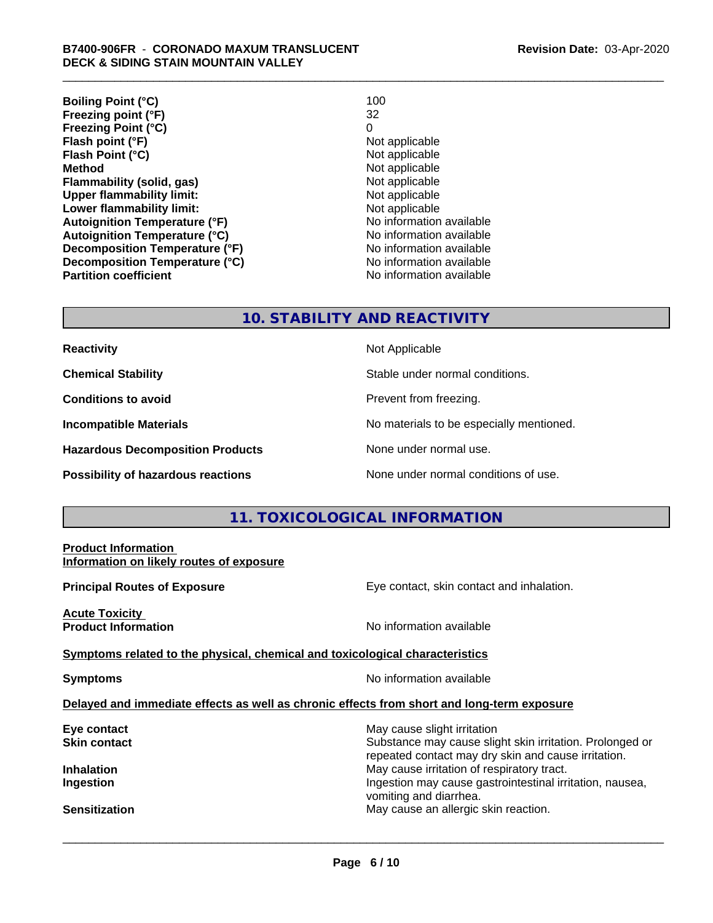**Boiling Point (°C)** 100<br> **Preezing point (°F)** 22 **Freezing point (°F)** 32 **Freezing Point (°C)** 0 **Flash point (°F)**<br> **Flash Point (°C)**<br> **Flash Point (°C)**<br> **C Flash Point (°C)**<br>Method **Flammability (solid, gas)**<br> **Commability limit:**<br>
Upper flammability limit:<br>
Not applicable **Upper flammability limit:**<br> **Lower flammability limit:**<br>
Not applicable<br>
Not applicable **Lower flammability limit: Autoignition Temperature (°F)** No information available **Autoignition Temperature (°C)** No information available **Decomposition Temperature (°F)** No information available **Decomposition Temperature (°C)**<br> **Partition coefficient Partition coefficient Partition coefficient Partition coefficient Partition coefficient Partition coefficient Partition coefficient Partition coefficie** 

**Not applicable No information available** 

#### **10. STABILITY AND REACTIVITY**

| Reactivity |  |  |
|------------|--|--|
|            |  |  |

**Hazardous Decomposition Products** None under normal use.

**Reactivity** Not Applicable

**Chemical Stability** Stable under normal conditions.

**Conditions to avoid Prevent from freezing.** 

**Incompatible Materials No materials** No materials to be especially mentioned.

**Possibility of hazardous reactions** None under normal conditions of use.

### **11. TOXICOLOGICAL INFORMATION**

| <b>Product Information</b><br>Information on likely routes of exposure                     |                                                                                                                 |
|--------------------------------------------------------------------------------------------|-----------------------------------------------------------------------------------------------------------------|
| <b>Principal Routes of Exposure</b>                                                        | Eye contact, skin contact and inhalation.                                                                       |
| <b>Acute Toxicity</b><br><b>Product Information</b>                                        | No information available                                                                                        |
| Symptoms related to the physical, chemical and toxicological characteristics               |                                                                                                                 |
| <b>Symptoms</b>                                                                            | No information available                                                                                        |
| Delayed and immediate effects as well as chronic effects from short and long-term exposure |                                                                                                                 |
| Eye contact                                                                                | May cause slight irritation                                                                                     |
| <b>Skin contact</b>                                                                        | Substance may cause slight skin irritation. Prolonged or<br>repeated contact may dry skin and cause irritation. |
| <b>Inhalation</b>                                                                          | May cause irritation of respiratory tract.                                                                      |
| Ingestion                                                                                  | Ingestion may cause gastrointestinal irritation, nausea,<br>vomiting and diarrhea.                              |
| <b>Sensitization</b>                                                                       | May cause an allergic skin reaction.                                                                            |
|                                                                                            |                                                                                                                 |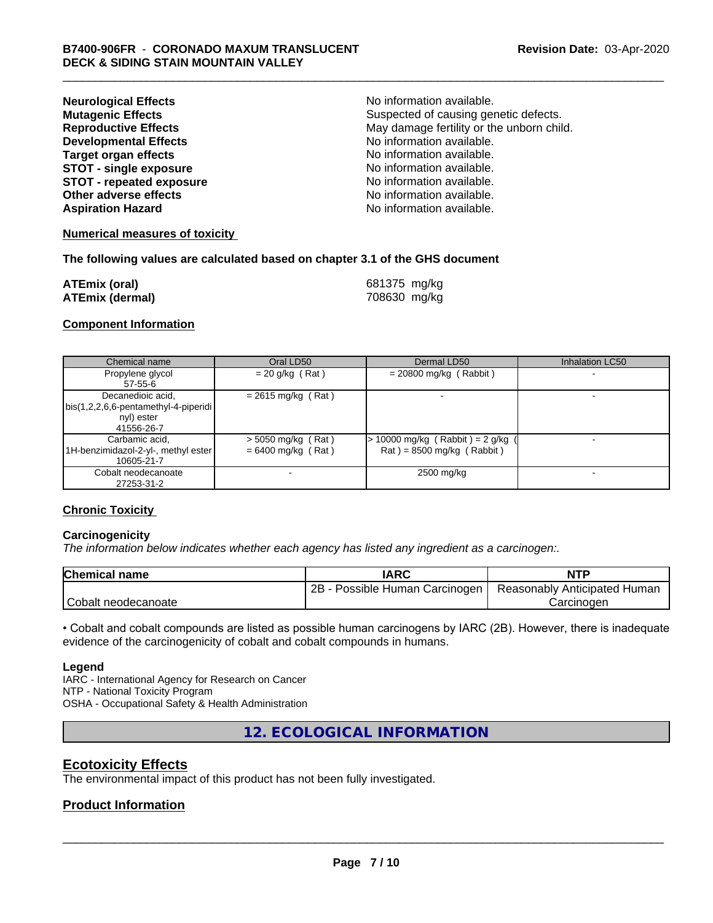| <b>Neurological Effects</b>     | No information available.                 |
|---------------------------------|-------------------------------------------|
| <b>Mutagenic Effects</b>        | Suspected of causing genetic defects.     |
| <b>Reproductive Effects</b>     | May damage fertility or the unborn child. |
| <b>Developmental Effects</b>    | No information available.                 |
| <b>Target organ effects</b>     | No information available.                 |
| <b>STOT - single exposure</b>   | No information available.                 |
| <b>STOT - repeated exposure</b> | No information available.                 |
| Other adverse effects           | No information available.                 |
| <b>Aspiration Hazard</b>        | No information available.                 |

#### **Numerical measures of toxicity**

#### **The following values are calculated based on chapter 3.1 of the GHS document**

| <b>ATEmix (oral)</b>   | 681375 mg/kg |
|------------------------|--------------|
| <b>ATEmix (dermal)</b> | 708630 mg/kg |

#### **Component Information**

| Chemical name                                                                             | Oral LD50                                    | Dermal LD50                                                      | <b>Inhalation LC50</b> |
|-------------------------------------------------------------------------------------------|----------------------------------------------|------------------------------------------------------------------|------------------------|
| Propylene glycol<br>$57 - 55 - 6$                                                         | $= 20$ g/kg (Rat)                            | $= 20800$ mg/kg (Rabbit)                                         |                        |
| Decanedioic acid,<br>  bis(1,2,2,6,6-pentamethyl-4-piperidi  <br>nyl) ester<br>41556-26-7 | $= 2615$ mg/kg (Rat)                         |                                                                  |                        |
| Carbamic acid,<br>1H-benzimidazol-2-yl-, methyl ester<br>10605-21-7                       | $>$ 5050 mg/kg (Rat)<br>$= 6400$ mg/kg (Rat) | $> 10000$ mg/kg (Rabbit) = 2 g/kg<br>$Rat$ = 8500 mg/kg (Rabbit) |                        |
| Cobalt neodecanoate<br>27253-31-2                                                         |                                              | 2500 mg/kg                                                       |                        |

#### **Chronic Toxicity**

#### **Carcinogenicity**

*The information below indicateswhether each agency has listed any ingredient as a carcinogen:.*

| <b>Chemical name</b> | <b>IARC</b>                     | <b>NTP</b>                   |
|----------------------|---------------------------------|------------------------------|
|                      | 2B<br>Possible Human Carcinogen | Reasonably Anticipated Human |
| Cobalt neodecanoate  |                                 | Carcinoden                   |

• Cobalt and cobalt compounds are listed as possible human carcinogens by IARC (2B). However, there is inadequate evidence of the carcinogenicity of cobalt and cobalt compounds in humans.

#### **Legend**

IARC - International Agency for Research on Cancer NTP - National Toxicity Program OSHA - Occupational Safety & Health Administration

**12. ECOLOGICAL INFORMATION**

### **Ecotoxicity Effects**

The environmental impact of this product has not been fully investigated.

#### **Product Information**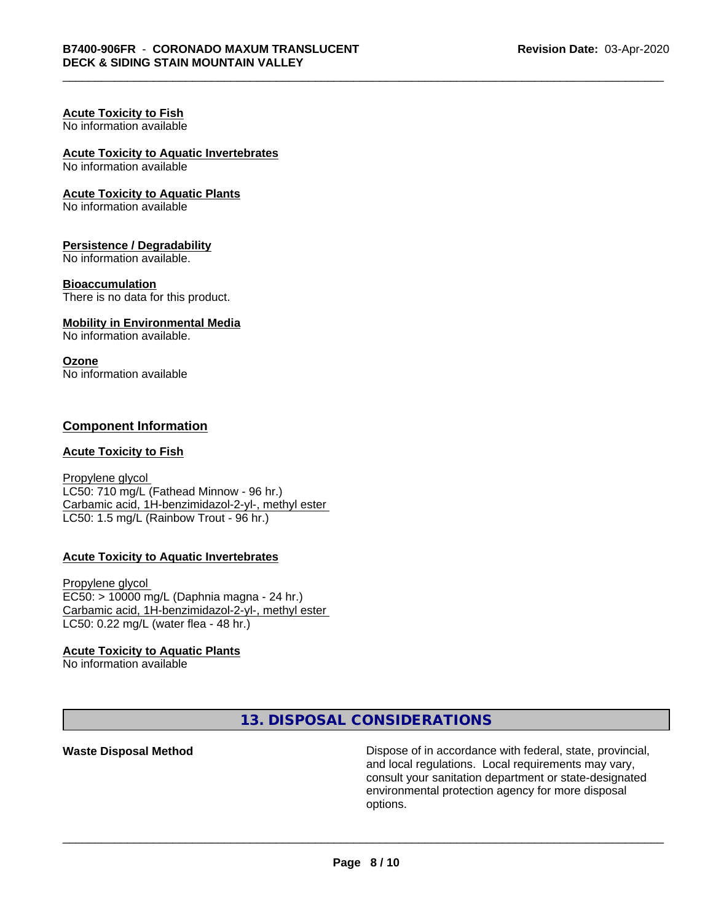#### **Acute Toxicity to Fish** No information available

# **Acute Toxicity to Aquatic Invertebrates**

No information available

#### **Acute Toxicity to Aquatic Plants**

No information available

#### **Persistence / Degradability**

No information available.

#### **Bioaccumulation**

There is no data for this product.

#### **Mobility in Environmental Media**

No information available.

#### **Ozone**

No information available

### **Component Information**

#### **Acute Toxicity to Fish**

Propylene glycol LC50: 710 mg/L (Fathead Minnow - 96 hr.) Carbamic acid, 1H-benzimidazol-2-yl-, methyl ester LC50: 1.5 mg/L (Rainbow Trout - 96 hr.)

#### **Acute Toxicity to Aquatic Invertebrates**

Propylene glycol EC50: > 10000 mg/L (Daphnia magna - 24 hr.) Carbamic acid, 1H-benzimidazol-2-yl-, methyl ester LC50: 0.22 mg/L (water flea - 48 hr.)

#### **Acute Toxicity to Aquatic Plants**

No information available

**13. DISPOSAL CONSIDERATIONS**

**Waste Disposal Method Dispose of in accordance with federal, state, provincial,** and local regulations. Local requirements may vary, consult your sanitation department or state-designated environmental protection agency for more disposal options.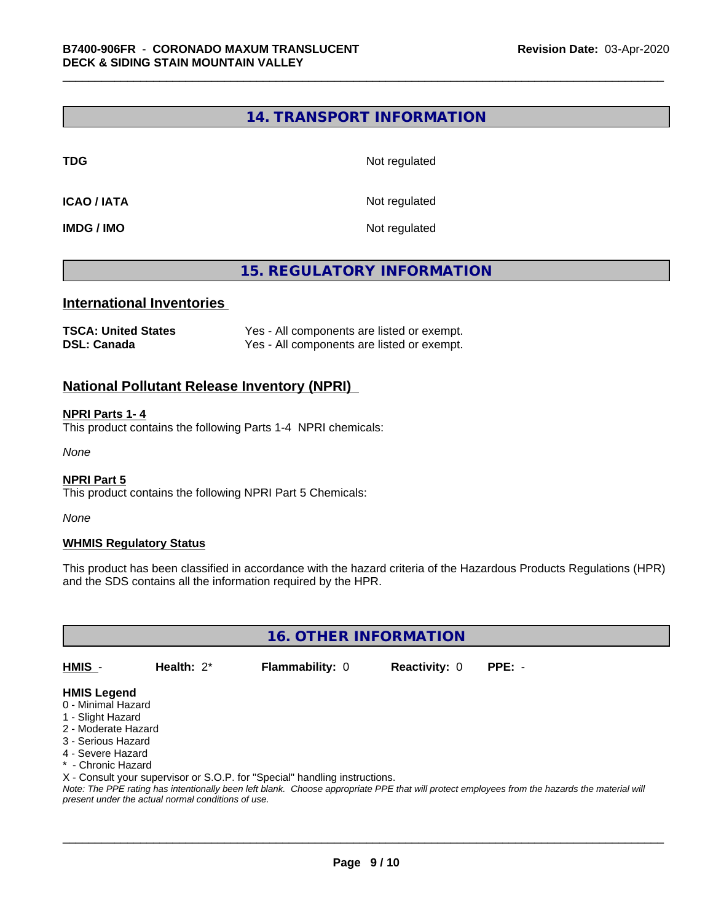#### **14. TRANSPORT INFORMATION**

**TDG** Not regulated

**ICAO / IATA** Not regulated

**IMDG / IMO** Not regulated

### **15. REGULATORY INFORMATION**

#### **International Inventories**

| <b>TSCA: United States</b> | Yes - All components are listed or exempt. |
|----------------------------|--------------------------------------------|
| <b>DSL: Canada</b>         | Yes - All components are listed or exempt. |

#### **National Pollutant Release Inventory (NPRI)**

#### **NPRI Parts 1- 4**

This product contains the following Parts 1-4 NPRI chemicals:

*None*

#### **NPRI Part 5**

This product contains the following NPRI Part 5 Chemicals:

*None*

#### **WHMIS Regulatory Status**

This product has been classified in accordance with the hazard criteria of the Hazardous Products Regulations (HPR) and the SDS contains all the information required by the HPR.

**16. OTHER INFORMATION**

**HMIS** - **Health:** 2\* **Flammability:** 0 **Reactivity:** 0 **PPE:** -

 $\overline{\phantom{a}}$  ,  $\overline{\phantom{a}}$  ,  $\overline{\phantom{a}}$  ,  $\overline{\phantom{a}}$  ,  $\overline{\phantom{a}}$  ,  $\overline{\phantom{a}}$  ,  $\overline{\phantom{a}}$  ,  $\overline{\phantom{a}}$  ,  $\overline{\phantom{a}}$  ,  $\overline{\phantom{a}}$  ,  $\overline{\phantom{a}}$  ,  $\overline{\phantom{a}}$  ,  $\overline{\phantom{a}}$  ,  $\overline{\phantom{a}}$  ,  $\overline{\phantom{a}}$  ,  $\overline{\phantom{a}}$ 

#### **HMIS Legend**

- 0 Minimal Hazard
- 1 Slight Hazard
- 2 Moderate Hazard
- 3 Serious Hazard
- 4 Severe Hazard
- \* Chronic Hazard
- X Consult your supervisor or S.O.P. for "Special" handling instructions.

*Note: The PPE rating has intentionally been left blank. Choose appropriate PPE that will protect employees from the hazards the material will present under the actual normal conditions of use.*